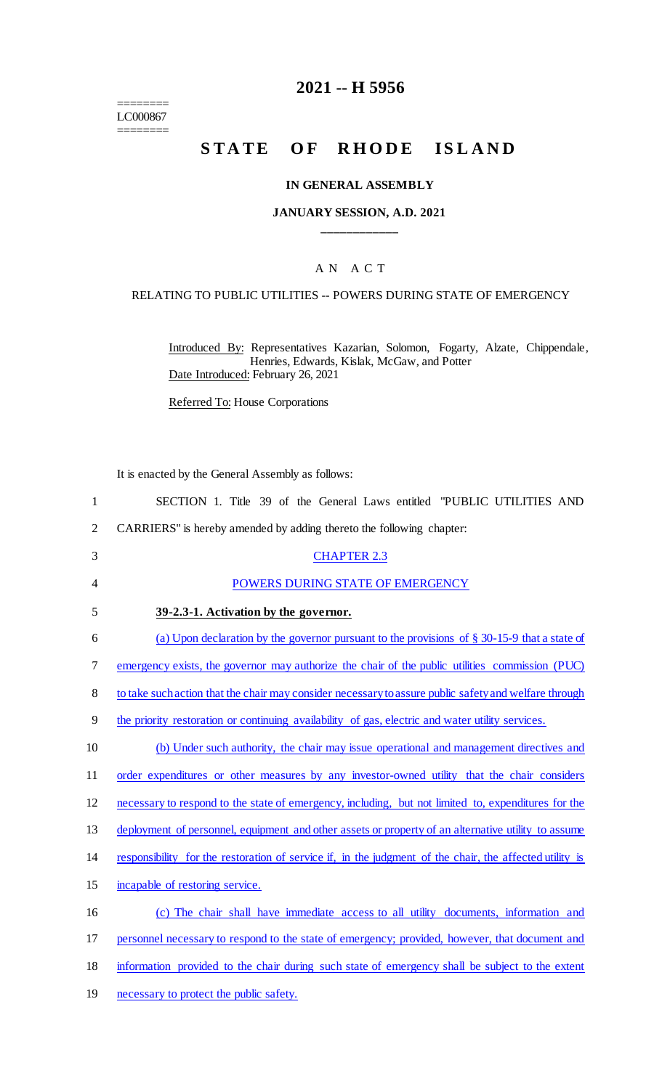======== LC000867 ========

## **2021 -- H 5956**

# **STATE OF RHODE ISLAND**

#### **IN GENERAL ASSEMBLY**

#### **JANUARY SESSION, A.D. 2021 \_\_\_\_\_\_\_\_\_\_\_\_**

### A N A C T

#### RELATING TO PUBLIC UTILITIES -- POWERS DURING STATE OF EMERGENCY

Introduced By: Representatives Kazarian, Solomon, Fogarty, Alzate, Chippendale, Henries, Edwards, Kislak, McGaw, and Potter Date Introduced: February 26, 2021

Referred To: House Corporations

It is enacted by the General Assembly as follows:

| 1              | SECTION 1. Title 39 of the General Laws entitled "PUBLIC UTILITIES AND                                  |
|----------------|---------------------------------------------------------------------------------------------------------|
| $\overline{2}$ | CARRIERS" is hereby amended by adding thereto the following chapter:                                    |
| 3              | <b>CHAPTER 2.3</b>                                                                                      |
| $\overline{4}$ | POWERS DURING STATE OF EMERGENCY                                                                        |
| 5              | 39-2.3-1. Activation by the governor.                                                                   |
| 6              | (a) Upon declaration by the governor pursuant to the provisions of $\S$ 30-15-9 that a state of         |
| 7              | emergency exists, the governor may authorize the chair of the public utilities commission (PUC)         |
| 8              | to take such action that the chair may consider necessary to assure public safety and welfare through   |
| 9              | the priority restoration or continuing availability of gas, electric and water utility services.        |
| 10             | (b) Under such authority, the chair may issue operational and management directives and                 |
| 11             | order expenditures or other measures by any investor-owned utility that the chair considers             |
| 12             | necessary to respond to the state of emergency, including, but not limited to, expenditures for the     |
| 13             | deployment of personnel, equipment and other assets or property of an alternative utility to assume     |
| 14             | responsibility for the restoration of service if, in the judgment of the chair, the affected utility is |
| 15             | incapable of restoring service.                                                                         |
| 16             | (c) The chair shall have immediate access to all utility documents, information and                     |
| 17             | personnel necessary to respond to the state of emergency; provided, however, that document and          |
| 18             | information provided to the chair during such state of emergency shall be subject to the extent         |
| 19             | necessary to protect the public safety.                                                                 |
|                |                                                                                                         |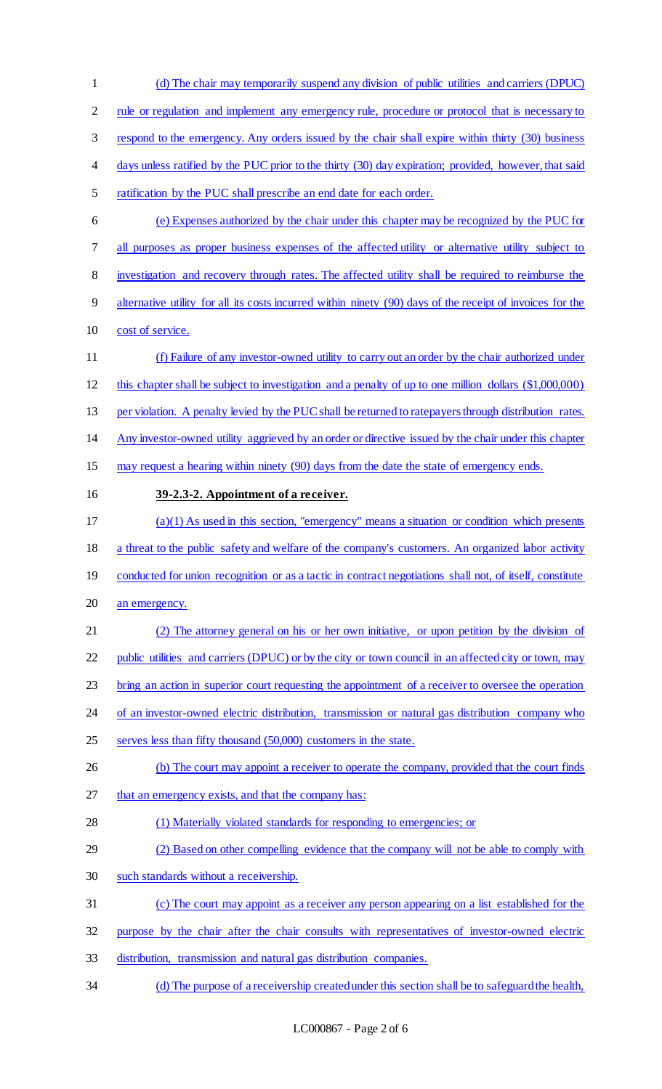| $\mathbf{1}$   | (d) The chair may temporarily suspend any division of public utilities and carriers (DPUC)                |
|----------------|-----------------------------------------------------------------------------------------------------------|
| $\overline{2}$ | rule or regulation and implement any emergency rule, procedure or protocol that is necessary to           |
| 3              | respond to the emergency. Any orders issued by the chair shall expire within thirty (30) business         |
| 4              | days unless ratified by the PUC prior to the thirty (30) day expiration; provided, however, that said     |
| 5              | ratification by the PUC shall prescribe an end date for each order.                                       |
| 6              | (e) Expenses authorized by the chair under this chapter may be recognized by the PUC for                  |
| 7              | all purposes as proper business expenses of the affected utility or alternative utility subject to        |
| $8\,$          | investigation and recovery through rates. The affected utility shall be required to reimburse the         |
| 9              | alternative utility for all its costs incurred within ninety (90) days of the receipt of invoices for the |
| 10             | cost of service.                                                                                          |
| 11             | (f) Failure of any investor-owned utility to carry out an order by the chair authorized under             |
| 12             | this chapter shall be subject to investigation and a penalty of up to one million dollars (\$1,000,000)   |
| 13             | per violation. A penalty levied by the PUC shall be returned to ratepayers through distribution rates.    |
| 14             | Any investor-owned utility aggrieved by an order or directive issued by the chair under this chapter      |
| 15             | may request a hearing within ninety (90) days from the date the state of emergency ends.                  |
| 16             | 39-2.3-2. Appointment of a receiver.                                                                      |
| 17             | $(a)(1)$ As used in this section, "emergency" means a situation or condition which presents               |
| 18             | a threat to the public safety and welfare of the company's customers. An organized labor activity         |
| 19             | conducted for union recognition or as a tactic in contract negotiations shall not, of itself, constitute  |
| 20             | an emergency.                                                                                             |
| 21             | (2) The attorney general on his or her own initiative, or upon petition by the division of                |
| 22             | public utilities and carriers (DPUC) or by the city or town council in an affected city or town, may      |
| 23             | bring an action in superior court requesting the appointment of a receiver to oversee the operation       |
| 24             | of an investor-owned electric distribution, transmission or natural gas distribution company who          |
| 25             | serves less than fifty thousand (50,000) customers in the state.                                          |
| 26             | (b) The court may appoint a receiver to operate the company, provided that the court finds                |
| 27             | that an emergency exists, and that the company has:                                                       |
| 28             | (1) Materially violated standards for responding to emergencies; or                                       |
| 29             | (2) Based on other compelling evidence that the company will not be able to comply with                   |
| 30             | such standards without a receivership.                                                                    |
| 31             | (c) The court may appoint as a receiver any person appearing on a list established for the                |
| 32             | purpose by the chair after the chair consults with representatives of investor-owned electric             |
| 33             | distribution, transmission and natural gas distribution companies.                                        |
| 34             | (d) The purpose of a receivership created under this section shall be to safeguard the health,            |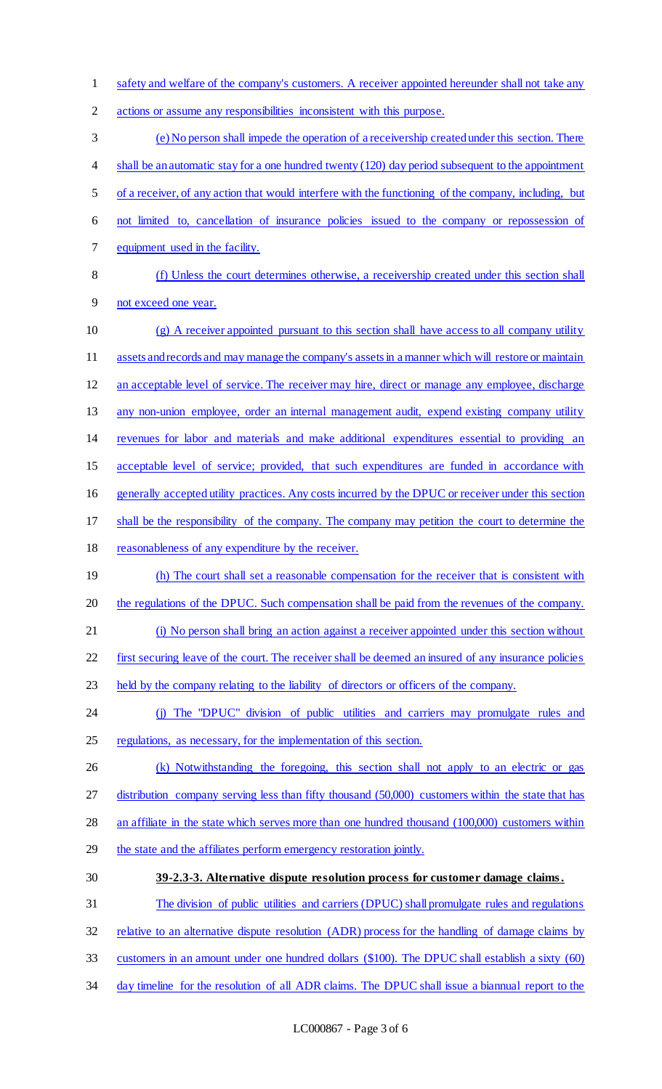1 safety and welfare of the company's customers. A receiver appointed hereunder shall not take any

actions or assume any responsibilities inconsistent with this purpose.

 (e) No person shall impede the operation of a receivership created under this section. There 4 shall be an automatic stay for a one hundred twenty (120) day period subsequent to the appointment of a receiver, of any action that would interfere with the functioning of the company, including, but not limited to, cancellation of insurance policies issued to the company or repossession of equipment used in the facility.

 (f) Unless the court determines otherwise, a receivership created under this section shall not exceed one year.

- (g) A receiver appointed pursuant to this section shall have access to all company utility assets and records and may manage the company's assets in a manner which will restore or maintain an acceptable level of service. The receiver may hire, direct or manage any employee, discharge any non-union employee, order an internal management audit, expend existing company utility revenues for labor and materials and make additional expenditures essential to providing an acceptable level of service; provided, that such expenditures are funded in accordance with generally accepted utility practices. Any costs incurred by the DPUC or receiver under this section shall be the responsibility of the company. The company may petition the court to determine the 18 reasonableness of any expenditure by the receiver. 19 (h) The court shall set a reasonable compensation for the receiver that is consistent with 20 the regulations of the DPUC. Such compensation shall be paid from the revenues of the company. (i) No person shall bring an action against a receiver appointed under this section without first securing leave of the court. The receiver shall be deemed an insured of any insurance policies held by the company relating to the liability of directors or officers of the company. (j) The "DPUC" division of public utilities and carriers may promulgate rules and regulations, as necessary, for the implementation of this section. 26 (k) Notwithstanding the foregoing, this section shall not apply to an electric or gas 27 distribution company serving less than fifty thousand (50,000) customers within the state that has an affiliate in the state which serves more than one hundred thousand (100,000) customers within 29 the state and the affiliates perform emergency restoration jointly. **39-2.3-3. Alternative dispute resolution process for customer damage claims.**  The division of public utilities and carriers (DPUC) shall promulgate rules and regulations relative to an alternative dispute resolution (ADR) process for the handling of damage claims by
- customers in an amount under one hundred dollars (\$100). The DPUC shall establish a sixty (60)
- day timeline for the resolution of all ADR claims. The DPUC shall issue a biannual report to the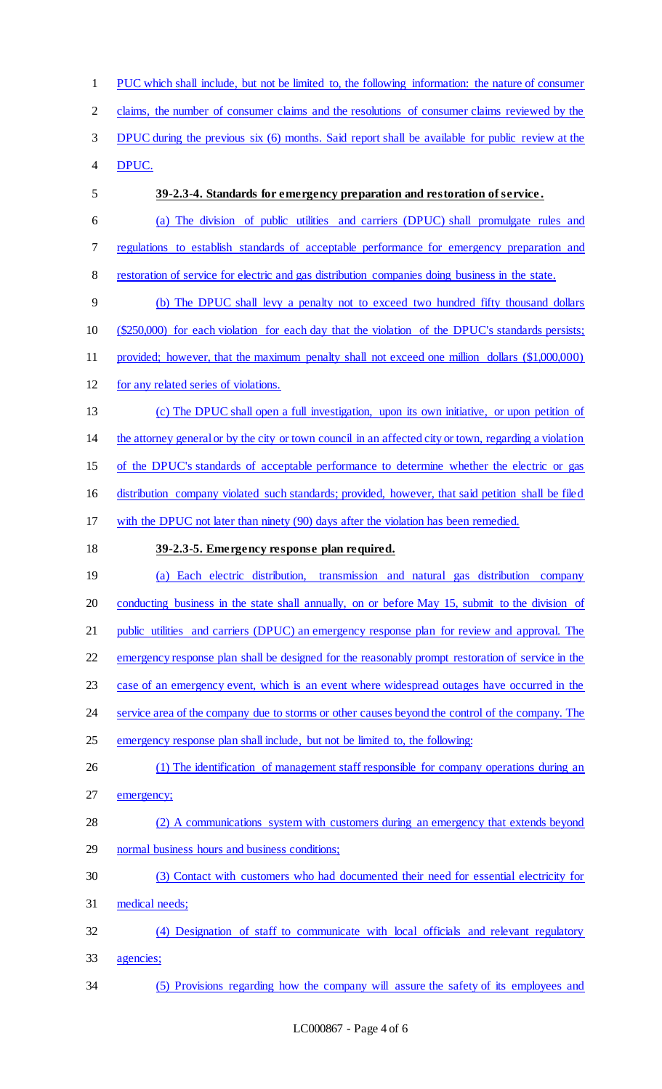PUC which shall include, but not be limited to, the following information: the nature of consumer claims, the number of consumer claims and the resolutions of consumer claims reviewed by the DPUC during the previous six (6) months. Said report shall be available for public review at the DPUC. **39-2.3-4. Standards for emergency preparation and restoration of service .**  (a) The division of public utilities and carriers (DPUC) shall promulgate rules and regulations to establish standards of acceptable performance for emergency preparation and restoration of service for electric and gas distribution companies doing business in the state. (b) The DPUC shall levy a penalty not to exceed two hundred fifty thousand dollars (\$250,000) for each violation for each day that the violation of the DPUC's standards persists; provided; however, that the maximum penalty shall not exceed one million dollars (\$1,000,000) for any related series of violations. (c) The DPUC shall open a full investigation, upon its own initiative, or upon petition of the attorney general or by the city or town council in an affected city or town, regarding a violation of the DPUC's standards of acceptable performance to determine whether the electric or gas distribution company violated such standards; provided, however, that said petition shall be filed with the DPUC not later than ninety (90) days after the violation has been remedied. **39-2.3-5. Emergency response plan required.**  (a) Each electric distribution, transmission and natural gas distribution company 20 conducting business in the state shall annually, on or before May 15, submit to the division of public utilities and carriers (DPUC) an emergency response plan for review and approval. The emergency response plan shall be designed for the reasonably prompt restoration of service in the case of an emergency event, which is an event where widespread outages have occurred in the 24 service area of the company due to storms or other causes beyond the control of the company. The 25 emergency response plan shall include, but not be limited to, the following: 26 (1) The identification of management staff responsible for company operations during an 27 emergency; (2) A communications system with customers during an emergency that extends beyond normal business hours and business conditions; (3) Contact with customers who had documented their need for essential electricity for medical needs; (4) Designation of staff to communicate with local officials and relevant regulatory agencies; (5) Provisions regarding how the company will assure the safety of its employees and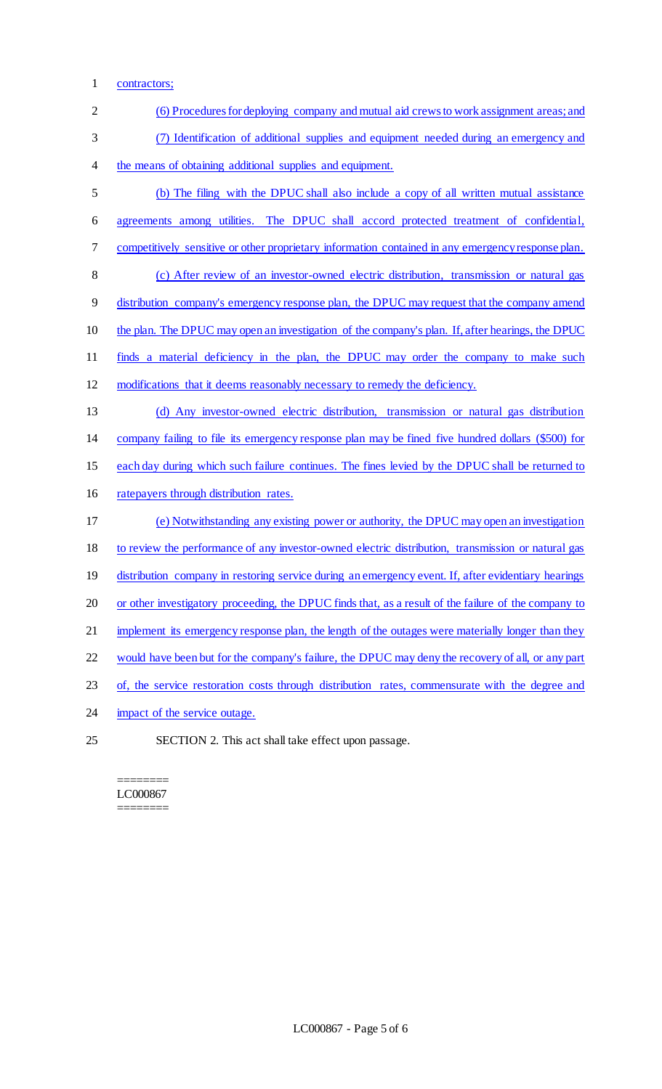1 contractors;

| $\overline{2}$ | (6) Procedures for deploying company and mutual aid crews to work assignment areas; and              |
|----------------|------------------------------------------------------------------------------------------------------|
| 3              | (7) Identification of additional supplies and equipment needed during an emergency and               |
| $\overline{4}$ | the means of obtaining additional supplies and equipment.                                            |
| 5              | (b) The filing with the DPUC shall also include a copy of all written mutual assistance              |
| 6              | agreements among utilities. The DPUC shall accord protected treatment of confidential,               |
| 7              | competitively sensitive or other proprietary information contained in any emergency response plan.   |
| 8              | (c) After review of an investor-owned electric distribution, transmission or natural gas             |
| 9              | distribution company's emergency response plan, the DPUC may request that the company amend          |
| 10             | the plan. The DPUC may open an investigation of the company's plan. If, after hearings, the DPUC     |
| 11             | finds a material deficiency in the plan, the DPUC may order the company to make such                 |
| 12             | modifications that it deems reasonably necessary to remedy the deficiency.                           |
| 13             | (d) Any investor-owned electric distribution, transmission or natural gas distribution               |
| 14             | company failing to file its emergency response plan may be fined five hundred dollars (\$500) for    |
| 15             | each day during which such failure continues. The fines levied by the DPUC shall be returned to      |
| 16             | ratepayers through distribution rates.                                                               |
| 17             | (e) Notwithstanding any existing power or authority, the DPUC may open an investigation              |
| 18             | to review the performance of any investor-owned electric distribution, transmission or natural gas   |
| 19             | distribution company in restoring service during an emergency event. If, after evidentiary hearings  |
| 20             | or other investigatory proceeding, the DPUC finds that, as a result of the failure of the company to |
| 21             | implement its emergency response plan, the length of the outages were materially longer than they    |
| 22             | would have been but for the company's failure, the DPUC may deny the recovery of all, or any part    |
| 23             | of, the service restoration costs through distribution rates, commensurate with the degree and       |
| 24             | impact of the service outage.                                                                        |
| 25             | SECTION 2. This act shall take effect upon passage.                                                  |

======== LC000867 ========